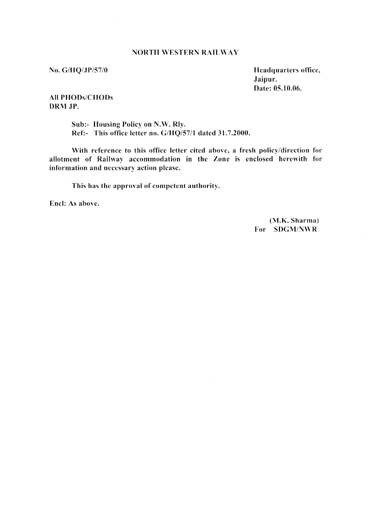### **NORTH WESTERN RAILWAY**

No. G/HQ/JP/57/0

Headquarters office, Jaipur. Date: 05.10.06.

**All PHODs/CHODs** DRM JP.

> Sub:- Housing Policy on N.W. Rly. Ref:- This office letter no. G/HQ/57/1 dated 31.7.2000.

With reference to this office letter cited above, a fresh policy/direction for allotment of Railway accommodation in the Zone is enclosed herewith for information and necessary action please.

This has the approval of competent authority.

Encl: As above.

(M.K. Sharma) For SDGM/NWR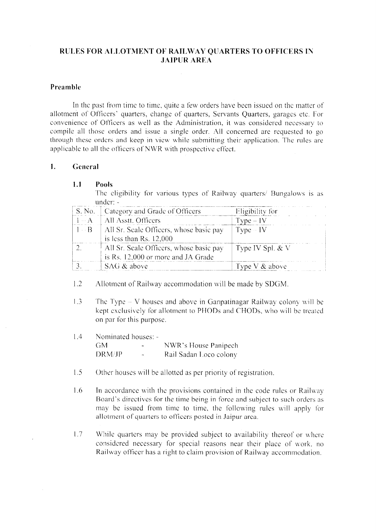## RULES FOR ALLOTMENT OF RAILWAY QUARTERS TO OFFICERS IN **JAIPUR AREA**

## Preamble

In the past from time to time, quite a few orders have been issued on the matter of allotment of Officers' quarters, change of quarters, Servants Quarters, garages etc. For convenience of Officers as well as the Administration, it was considered necessary to compile all those orders and issue a single order. All concerned are requested to go through these orders and keep in view while submitting their application. The rules are applicable to all the officers of NWR with prospective effect.

#### $1<sup>1</sup>$ General

#### $1.1$ **Pools**

The eligibility for various types of Railway quarters/ Bungalows is as under: -

|                         | S. No.   Category and Grade of Officers                                        | Eligibility for    |
|-------------------------|--------------------------------------------------------------------------------|--------------------|
| $\Box$ $\Box$ $\Lambda$ | All Asstt. Officers                                                            | $Type - IV$        |
|                         | $1 - B$   All Sr. Scale Officers, whose basic pay<br>is less than $Rs. 12,000$ | $Type - IV$        |
|                         | All St. Scale Officers, whose basic pay<br>is Rs. 12,000 or more and JA Grade  | Type IV Spl. $&$ V |
|                         | SAG & above                                                                    | Type V $&$ above   |

 $1.2$ Allotment of Railway accommodation will be made by SDGM.

- $13$ The Type  $-V$  houses and above in Ganpatinagar Railway colony will be kept exclusively for allotment to PHODs and CHODs, who will be treated on par for this purpose.
- $1.4$ Nominated houses: -GM. NWR's House Panipech  $\sim$ Rail Sadan Loco colony DRM/JP
- $1.5$ Other houses will be allotted as per priority of registration.
- 1.6 In accordance with the provisions contained in the code rules or Railway Board's directives for the time being in force and subject to such orders as may be issued from time to time, the following rules will apply for allotment of quarters to officers posted in Jaipur area.
- $1.7$ While quarters may be provided subject to availability thereof or where considered necessary for special reasons near their place of work, no Railway officer has a right to claim provision of Railway accommodation.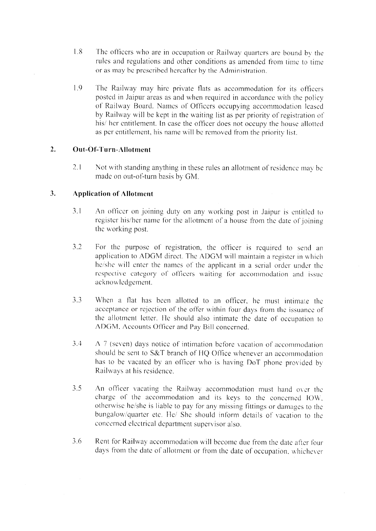- $1.8$ The officers who are in occupation or Railway quarters are bound by the rules and regulations and other conditions as amended from time to time or as may be prescribed hereafter by the Administration.
- $19$ The Railway may hire private flats as accommodation for its officers posted in Jaipur areas as and when required in accordance with the policy of Railway Board. Names of Officers occupying accommodation leased by Railway will be kept in the waiting list as per priority of registration of his/ her entitlement. In case the officer does not occupy the house allotted as per entitlement, his name will be removed from the priority list.

#### $2.$ Out-Of-Turn-Allotment

 $2.1$ Not with standing anything in these rules an allotment of residence may be made on out-of-turn basis by GM.

#### $3.$ **Application of Allotment**

- $3.1$ An officer on joining duty on any working post in Jaipur is entitled to register his/her name for the allotment of a house from the date of joining the working post.
- $3.2$ For the purpose of registration, the officer is required to send an application to ADGM direct. The ADGM will maintain a register in which he/she will enter the names of the applicant in a serial order under the respective category of officers waiting for accommodation and issue acknowledgement.
- $3.3$ When a flat has been allotted to an officer, he must intimate the acceptance or rejection of the offer within four days from the issuance of the allotment letter. He should also intimate the date of occupation to ADGM, Accounts Officer and Pay Bill concerned.
- 3.4 A 7 (seven) days notice of intimation before vacation of accommodation should be sent to S&T branch of HQ Office whenever an accommodation has to be vacated by an officer who is having DoT phone provided by Railways at his residence.
- $3.5$ An officer vacating the Railway accommodation must hand over the charge of the accommodation and its keys to the concerned IOW, otherwise he/she is liable to pay for any missing fittings or damages to the bungalow/quarter etc. He/ She should inform details of vacation to the concerned electrical department supervisor also.
- $3.6$ Rent for Railway accommodation will become due from the date after four days from the date of allotment or from the date of occupation, whichever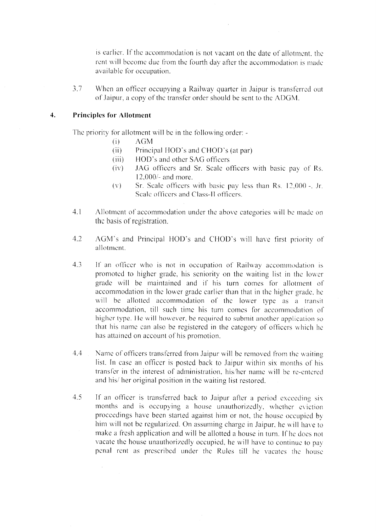is earlier. If the accommodation is not vacant on the date of allotment, the rent will become due from the fourth day after the accommodation is made available for occupation.

 $3.7$ When an officer occupying a Railway quarter in Jaipur is transferred out of Jaipur, a copy of the transfer order should be sent to the ADGM.

#### $\overline{4}$ . **Principles for Allotment**

 $\mathcal{L}_{\mathcal{A}}$ 

The priority for allotment will be in the following order: -

- $(i)$ **AGM**
- $(ii)$ Principal HOD's and CHOD's (at par)
- $(iii)$ HOD's and other SAG officers
- $(iv)$ JAG officers and Sr. Scale officers with basic pay of Rs.  $12,000/-$  and more.
- Sr. Scale officers with basic pay less than Rs. 12,000 -, Jr.  $(v)$ Scale officers and Class-II officers.
- $4.1$ Allotment of accommodation under the above categories will be made on the basis of registration.
- $4.2$ AGM's and Principal HOD's and CHOD's will have first priority of allotment.
- 4.3 If an officer who is not in occupation of Railway accommodation is promoted to higher grade, his seniority on the waiting list in the lower grade will be maintained and if his turn comes for allotment of accommodation in the lower grade earlier than that in the higher grade, he will be allotted accommodation of the lower type as a transit accommodation, till such time his turn comes for accommodation of higher type. He will however, be required to submit another application so that his name can also be registered in the category of officers which he has attained on account of his promotion.
- 4.4 Name of officers transferred from Jaipur will be removed from the waiting list. In case an officer is posted back to Jaipur within six months of his transfer in the interest of administration, his/her name will be re-entered and his/ her original position in the waiting list restored.
- If an officer is transferred back to Jaipur after a period exceeding six  $4.5$ months and is occupying a house unauthorizedly, whether eviction proceedings have been started against him or not, the house occupied by him will not be regularized. On assuming charge in Jaipur, he will have to make a fresh application and will be allotted a house in turn. If he does not vacate the house unauthorizedly occupied, he will have to continue to pay penal rent as prescribed under the Rules till he vacates the house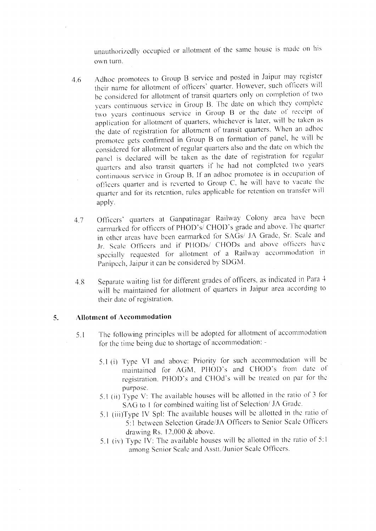unauthorizedly occupied or allotment of the same house is made on his own turn.

- Adhoc promotees to Group B service and posted in Jaipur may register 4.6 their name for allotment of officers' quarter. However, such officers will be considered for allotment of transit quarters only on completion of two years continuous service in Group B. The date on which they complete two years continuous service in Group B or the date of receipt of application for allotment of quarters, whichever is later, will be taken as the date of registration for allotment of transit quarters. When an adhoc promotee gets confirmed in Group B on formation of panel, he will be considered for allotment of regular quarters also and the date on which the panel is declared will be taken as the date of registration for regular quarters and also transit quarters if he had not completed two years continuous service in Group B. If an adhoc promotee is in occupation of officers quarter and is reverted to Group C, he will have to vacate the quarter and for its retention, rules applicable for retention on transfer will apply.
- Officers' quarters at Ganpatinagar Railway Colony area have been 4.7 earmarked for officers of PHOD's/ CHOD's grade and above. The quarter in other areas have been earmarked for SAGs/ JA Grade, Sr. Scale and Jr. Scale Officers and if PHODs/ CHODs and above officers have specially requested for allotment of a Railway accommodation in Panipech, Jaipur it can be considered by SDGM.
- Separate waiting list for different grades of officers, as indicated in Para 4  $48$ will be maintained for allotment of quarters in Jaipur area according to their date of registration.

#### $5.$ **Allotment of Accommodation**

- The following principles will be adopted for allotment of accommodation  $5.1$ for the time being due to shortage of accommodation: -
	- 5.1 (i) Type VI and above: Priority for such accommodation will be maintained for AGM, PHOD's and CHOD's from date of registration. PHOD's and CHOd's will be treated on par for the purpose.
	- 5.1 (ii) Type V: The available houses will be allotted in the ratio of 3 for SAG to 1 for combined waiting list of Selection/ JA Grade.
	- 5.1 (iii)Type IV Spl: The available houses will be allotted in the ratio of 5:1 between Selection Grade/JA Officers to Senior Scale Officers drawing Rs.  $12,000$  & above.
	- 5.1 (iv) Type IV: The available houses will be allotted in the ratio of 5:1 among Senior Scale and Asstt./Junior Scale Officers.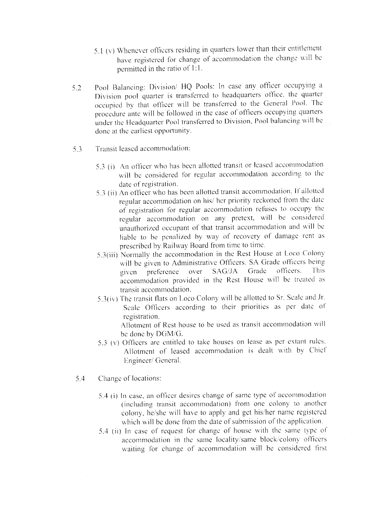- 5.1 (v) Whenever officers residing in quarters lower than their entitlement have registered for change of accommodation the change will be permitted in the ratio of 1:1.
- Pool Balancing: Division/ HQ Pools: In case any officer occupying a  $52$ Division pool quarter is transferred to headquarters office, the quarter occupied by that officer will be transferred to the General Pool. The procedure ante will be followed in the case of officers occupying quarters under the Headquarter Pool transferred to Division, Pool balancing will be done at the earliest opportunity.
- $5.3$ Transit leased accommodation:
	- 5.3 (i) An officer who has been allotted transit or leased accommodation will be considered for regular accommodation according to the date of registration.
	- 5.3 (ii) An officer who has been allotted transit accommodation. If allotted regular accommodation on his/ her priority reckoned from the date of registration for regular accommodation refuses to occupy the regular accommodation on any pretext, will be considered unauthorized occupant of that transit accommodation and will be liable to be penalized by way of recovery of damage rent as prescribed by Railway Board from time to time.
	- 5.3(iii) Normally the accommodation in the Rest House at Loco Colony will be given to Administrative Officers. SA Grade officers being SAG/JA Grade officers. This over preference given accommodation provided in the Rest House will be treated as transit accommodation.
	- 5.3(iv) The transit flats on Loco Colony will be allotted to Sr. Scale and Jr. Scale Officers according to their priorities as per date of registration.

Allotment of Rest house to be used as transit accommodation will be done by DGM/G.

- 5.3 (v) Officers are entitled to take houses on lease as per extant rules. Allotment of leased accommodation is dealt with by Chief Engineer/General.
- 5.4 Change of locations:
	- 5.4 (i) In case, an officer desires change of same type of accommodation (including transit accommodation) from one colony to another colony, he/she will have to apply and get his/her name registered which will be done from the date of submission of the application.
	- 5.4 (ii) In case of request for change of house with the same type of accommodation in the same locality/same block/colony officers waiting for change of accommodation will be considered first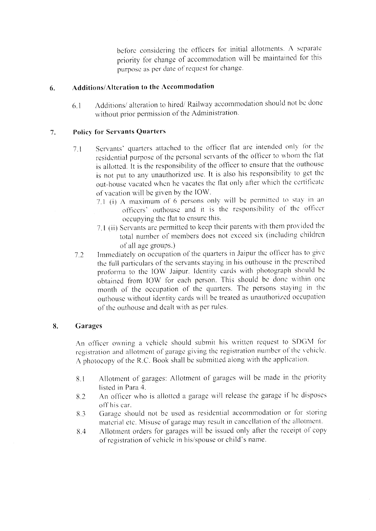before considering the officers for initial allotments. A separate priority for change of accommodation will be maintained for this purpose as per date of request for change.

#### **Additions/Alteration to the Accommodation** 6.

Additions/ alteration to hired/ Railway accommodation should not be done  $6.1$ without prior permission of the Administration.

#### **Policy for Servants Quarters** 7.

- Servants' quarters attached to the officer flat are intended only for the  $7.1$ residential purpose of the personal servants of the officer to whom the flat is allotted. It is the responsibility of the officer to ensure that the outhouse is not put to any unauthorized use. It is also his responsibility to get the out-house vacated when he vacates the flat only after which the certificate of vacation will be given by the IOW.
	- 7.1 (i) A maximum of 6 persons only will be permitted to stay in an officers' outhouse and it is the responsibility of the officer occupying the flat to ensure this.
	- 7.1 (ii) Servants are permitted to keep their parents with them provided the total number of members does not exceed six (including children of all age groups.)
- Immediately on occupation of the quarters in Jaipur the officer has to give  $7.2$ the full particulars of the servants staying in his outhouse in the prescribed proforma to the IOW Jaipur. Identity cards with photograph should be obtained from IOW for each person. This should be done within one month of the occupation of the quarters. The persons staying in the outhouse without identity cards will be treated as unauthorized occupation of the outhouse and dealt with as per rules.

#### Garages 8.

An officer owning a vehicle should submit his written request to SDGM for registration and allotment of garage giving the registration number of the vehicle. A photocopy of the R.C. Book shall be submitted along with the application.

- Allotment of garages: Allotment of garages will be made in the priority 8.1 listed in Para 4.
- An officer who is allotted a garage will release the garage if he disposes 8.2 off his car.
- Garage should not be used as residential accommodation or for storing 8.3 material etc. Misuse of garage may result in cancellation of the allotment.
- Allotment orders for garages will be issued only after the receipt of copy 8.4 of registration of vehicle in his/spouse or child's name.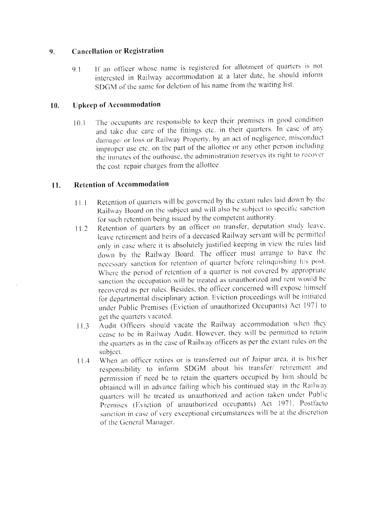#### **Cancellation or Registration**  $9<sub>1</sub>$

If an officer whose name is registered for allotment of quarters is not  $9<sub>1</sub>$ interested in Railway accommodation at a later date, he should inform SDGM of the same for deletion of his name from the waiting list.

#### **Upkeep of Accommodation**  $10.$

The occupants are responsible to keep their premises in good condition  $10.1$ and take due care of the fittings etc. in their quarters. In case of any damage/ or loss or Railway Property, by an act of negligence, misconduct improper use etc. on the part of the allottee or any other person including the inmates of the outhouse, the administration reserves its right to recover the cost/repair charges from the allottee.

#### **Retention of Accommodation**  $11.$

- Retention of quarters will be governed by the extant rules laid down by the  $11.1$ Railway Board on the subject and will also be subject to specific sanction for such retention being issued by the competent authority.
- Retention of quarters by an officer on transfer, deputation study leave,  $11.2$ leave retirement and heirs of a deceased Railway servant will be permitted only in case where it is absolutely justified keeping in view the rules laid down by the Railway Board. The officer must arrange to have the necessary sanction for retention of quarter before relinquishing his post. Where the period of retention of a quarter is not covered by appropriate sanction the occupation will be treated as unauthorized and rent would be recovered as per rules. Besides, the officer concerned will expose himself for departmental disciplinary action. Eviction proceedings will be initiated under Public Premises (Eviction of unauthorized Occupants) Act 1971 to get the quarters vacated.
- Audit Officers should vacate the Railway accommodation when they  $11.3$ cease to be in Railway Audit. However, they will be permitted to retain the quarters as in the case of Railway officers as per the extant rules on the subject.
- When an officer retires or is transferred out of Jaipur area, it is his/her  $11.4$ responsibility to inform SDGM about his transfer/ retirement and permission if need be to retain the quarters occupied by him should be obtained will in advance failing which his continued stay in the Railway quarters will be treated as unauthorized and action taken under Public Premises (Eviction of unauthorized occupants) Act 1971. Postfacto sanction in case of very exceptional circumstances will be at the discretion of the General Manager.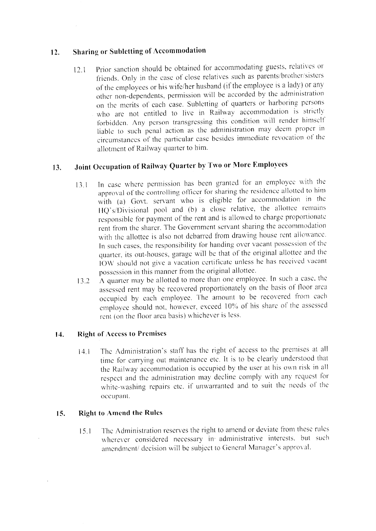#### **Sharing or Subletting of Accommodation**  $12.$

Prior sanction should be obtained for accommodating guests, relatives or  $12.1$ friends. Only in the case of close relatives such as parents/brother/sisters of the employees or his wife/her husband (if the employee is a lady) or any other non-dependents, permission will be accorded by the administration on the merits of each case. Subletting of quarters or harboring persons who are not entitled to live in Railway accommodation is strictly forbidden. Any person transgressing this condition will render himself liable to such penal action as the administration may deem proper in circumstances of the particular case besides immediate revocation of the allotment of Railway quarter to him.

#### Joint Occupation of Railway Quarter by Two or More Employees  $13.$

- In case where permission has been granted for an employee with the  $131$ approval of the controlling officer for sharing the residence allotted to him with (a) Govt. servant who is eligible for accommodation in the HQ's/Divisional pool and (b) a close relative, the allottee remains responsible for payment of the rent and is allowed to charge proportionate rent from the sharer. The Government servant sharing the accommodation with the allottee is also not debarred from drawing house rent allowance. In such cases, the responsibility for handing over vacant possession of the quarter, its out-houses, garage will be that of the original allottee and the IOW should not give a vacation certificate unless he has received vacant possession in this manner from the original allottee.
- A quarter may be allotted to more than one employee. In such a case, the  $13.2$ assessed rent may be recovered proportionately on the basis of floor area occupied by each employee. The amount to be recovered from each employee should not, however, exceed 10% of his share of the assessed rent (on the floor area basis) whichever is less.

#### **Right of Access to Premises** 14.

The Administration's staff has the right of access to the premises at all  $14.1$ time for carrying out maintenance etc. It is to be clearly understood that the Railway accommodation is occupied by the user at his own risk in all respect and the administration may decline comply with any request for white-washing repairs etc. if unwarranted and to suit the needs of the occupant.

#### **Right to Amend the Rules**  $15.$

The Administration reserves the right to amend or deviate from these rules  $15.1$ wherever considered necessary in administrative interests. but such amendment/ decision will be subject to General Manager's approval.